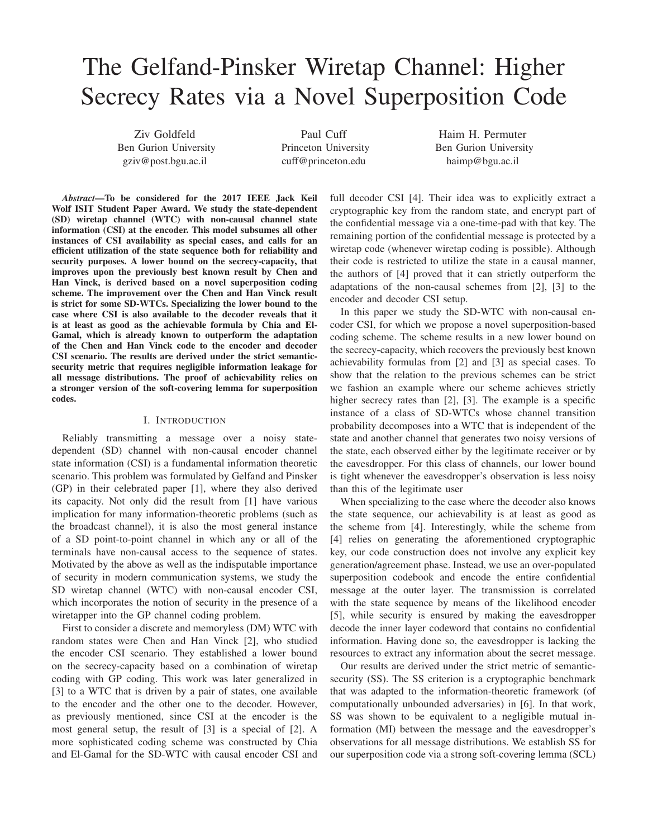# The Gelfand-Pinsker Wiretap Channel: Higher Secrecy Rates via a Novel Superposition Code

Ziv Goldfeld Ben Gurion University gziv@post.bgu.ac.il

Paul Cuff Princeton University cuff@princeton.edu

Haim H. Permuter Ben Gurion University haimp@bgu.ac.il

*Abstract*—To be considered for the 2017 IEEE Jack Keil Wolf ISIT Student Paper Award. We study the state-dependent (SD) wiretap channel (WTC) with non-causal channel state information (CSI) at the encoder. This model subsumes all other instances of CSI availability as special cases, and calls for an efficient utilization of the state sequence both for reliability and security purposes. A lower bound on the secrecy-capacity, that improves upon the previously best known result by Chen and Han Vinck, is derived based on a novel superposition coding scheme. The improvement over the Chen and Han Vinck result is strict for some SD-WTCs. Specializing the lower bound to the case where CSI is also available to the decoder reveals that it is at least as good as the achievable formula by Chia and El-Gamal, which is already known to outperform the adaptation of the Chen and Han Vinck code to the encoder and decoder CSI scenario. The results are derived under the strict semanticsecurity metric that requires negligible information leakage for all message distributions. The proof of achievability relies on a stronger version of the soft-covering lemma for superposition codes.

# I. INTRODUCTION

Reliably transmitting a message over a noisy statedependent (SD) channel with non-causal encoder channel state information (CSI) is a fundamental information theoretic scenario. This problem was formulated by Gelfand and Pinsker (GP) in their celebrated paper [1], where they also derived its capacity. Not only did the result from [1] have various implication for many information-theoretic problems (such as the broadcast channel), it is also the most general instance of a SD point-to-point channel in which any or all of the terminals have non-causal access to the sequence of states. Motivated by the above as well as the indisputable importance of security in modern communication systems, we study the SD wiretap channel (WTC) with non-causal encoder CSI, which incorporates the notion of security in the presence of a wiretapper into the GP channel coding problem.

First to consider a discrete and memoryless (DM) WTC with random states were Chen and Han Vinck [2], who studied the encoder CSI scenario. They established a lower bound on the secrecy-capacity based on a combination of wiretap coding with GP coding. This work was later generalized in [3] to a WTC that is driven by a pair of states, one available to the encoder and the other one to the decoder. However, as previously mentioned, since CSI at the encoder is the most general setup, the result of [3] is a special of [2]. A more sophisticated coding scheme was constructed by Chia and El-Gamal for the SD-WTC with causal encoder CSI and

full decoder CSI [4]. Their idea was to explicitly extract a cryptographic key from the random state, and encrypt part of the confidential message via a one-time-pad with that key. The remaining portion of the confidential message is protected by a wiretap code (whenever wiretap coding is possible). Although their code is restricted to utilize the state in a causal manner, the authors of [4] proved that it can strictly outperform the adaptations of the non-causal schemes from [2], [3] to the encoder and decoder CSI setup.

In this paper we study the SD-WTC with non-causal encoder CSI, for which we propose a novel superposition-based coding scheme. The scheme results in a new lower bound on the secrecy-capacity, which recovers the previously best known achievability formulas from [2] and [3] as special cases. To show that the relation to the previous schemes can be strict we fashion an example where our scheme achieves strictly higher secrecy rates than [2], [3]. The example is a specific instance of a class of SD-WTCs whose channel transition probability decomposes into a WTC that is independent of the state and another channel that generates two noisy versions of the state, each observed either by the legitimate receiver or by the eavesdropper. For this class of channels, our lower bound is tight whenever the eavesdropper's observation is less noisy than this of the legitimate user

When specializing to the case where the decoder also knows the state sequence, our achievability is at least as good as the scheme from [4]. Interestingly, while the scheme from [4] relies on generating the aforementioned cryptographic key, our code construction does not involve any explicit key generation/agreement phase. Instead, we use an over-populated superposition codebook and encode the entire confidential message at the outer layer. The transmission is correlated with the state sequence by means of the likelihood encoder [5], while security is ensured by making the eavesdropper decode the inner layer codeword that contains no confidential information. Having done so, the eavesdropper is lacking the resources to extract any information about the secret message.

Our results are derived under the strict metric of semanticsecurity (SS). The SS criterion is a cryptographic benchmark that was adapted to the information-theoretic framework (of computationally unbounded adversaries) in [6]. In that work, SS was shown to be equivalent to a negligible mutual information (MI) between the message and the eavesdropper's observations for all message distributions. We establish SS for our superposition code via a strong soft-covering lemma (SCL)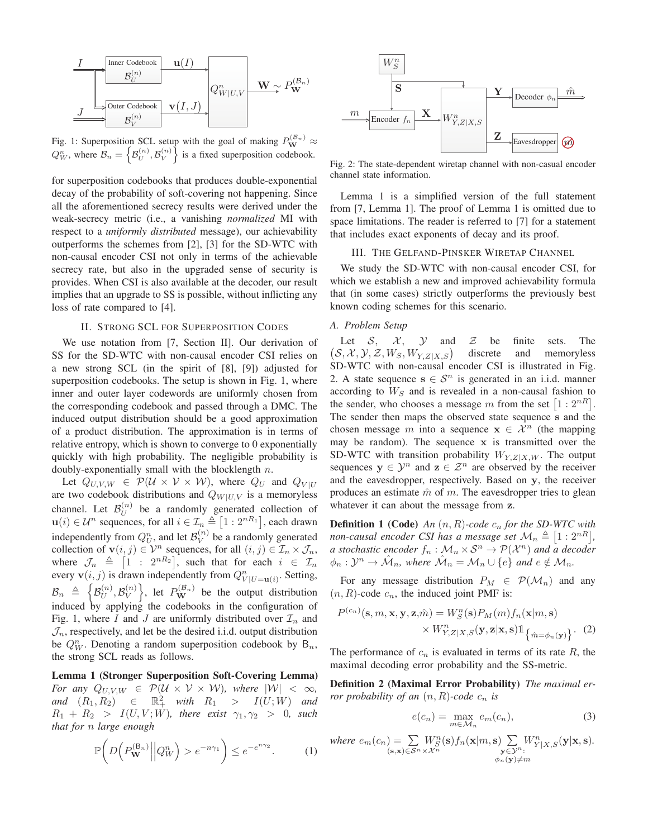

Fig. 1: Superposition SCL setup with the goal of making  $P_{\bf W}^{(\mathcal{B}_n)} \approx$  $Q_W^n$ , where  $\mathcal{B}_n = \left\{ \mathcal{B}_U^{(n)}, \mathcal{B}_V^{(n)} \right\}$  is a fixed superposition codebook.

for superposition codebooks that produces double-exponential decay of the probability of soft-covering not happening. Since all the aforementioned secrecy results were derived under the weak-secrecy metric (i.e., a vanishing *normalized* MI with respect to a *uniformly distributed* message), our achievability outperforms the schemes from [2], [3] for the SD-WTC with non-causal encoder CSI not only in terms of the achievable secrecy rate, but also in the upgraded sense of security is provides. When CSI is also available at the decoder, our result implies that an upgrade to SS is possible, without inflicting any loss of rate compared to [4].

# II. STRONG SCL FOR SUPERPOSITION CODES

We use notation from [7, Section II]. Our derivation of SS for the SD-WTC with non-causal encoder CSI relies on a new strong SCL (in the spirit of [8], [9]) adjusted for superposition codebooks. The setup is shown in Fig. 1, where inner and outer layer codewords are uniformly chosen from the corresponding codebook and passed through a DMC. The induced output distribution should be a good approximation of a product distribution. The approximation is in terms of relative entropy, which is shown to converge to 0 exponentially quickly with high probability. The negligible probability is doubly-exponentially small with the blocklength  $n$ .

Let  $Q_{U,V,W} \in \mathcal{P}(\mathcal{U} \times \mathcal{V} \times \mathcal{W})$ , where  $Q_U$  and  $Q_{V|U}$ are two codebook distributions and  $Q_{W|U,V}$  is a memoryless channel. Let  $\mathcal{B}_U^{(n)}$  be a randomly generated collection of  $\mathbf{u}(i) \in \mathcal{U}^n$  sequences, for all  $i \in \mathcal{I}_n \triangleq [1 : 2^{nR_1}]$ , each drawn independently from  $Q_U^n$ , and let  $\mathcal{B}_V^{(n)}$  be a randomly generated collection of  $\mathbf{v}(i, j) \in \mathcal{V}^n$  sequences, for all  $(i, j) \in \mathcal{I}_n \times \mathcal{J}_n$ , where  $\mathcal{J}_n \triangleq [1]$ :  $2^{nR_2}$ , such that for each  $i \in \mathcal{I}_n$ every  $\mathbf{v}(i, j)$  is drawn independently from  $Q_{V|U=\mathbf{u}(i)}^n$ . Setting,  $\mathcal{B}_n \triangleq \left\{ \mathcal{B}_U^{(n)}, \mathcal{B}_V^{(n)} \right\}$ , let  $P_{\mathbf{W}}^{(\mathcal{B}_n)}$  be the output distribution induced by applying the codebooks in the configuration of Fig. 1, where I and J are uniformly distributed over  $\mathcal{I}_n$  and  $\mathcal{J}_n$ , respectively, and let be the desired i.i.d. output distribution be  $Q_W^n$ . Denoting a random superposition codebook by  $B_n$ , the strong SCL reads as follows.

Lemma 1 (Stronger Superposition Soft-Covering Lemma) *For any*  $Q_{U,V,W} \in \mathcal{P}(\mathcal{U} \times \mathcal{V} \times \mathcal{W})$ *, where*  $|\mathcal{W}| < \infty$ *,*  $and$   $(R_1, R_2)$   $\in$   $\mathbb{R}^2_+$  *with*  $R_1$  >  $I(U;W)$  and  $R_1 + R_2 > I(U, V; W)$ *, there exist*  $\gamma_1, \gamma_2 > 0$ *, such that for* n *large enough*

$$
\mathbb{P}\bigg(D\Big(P_{\mathbf{W}}^{(\mathsf{B}_n)}\Big|\Big|Q_W^n\Big)>c^{-n\gamma_1}\bigg)\leq e^{-e^{n\gamma_2}}.\tag{1}
$$



Fig. 2: The state-dependent wiretap channel with non-casual encoder channel state information.

Lemma 1 is a simplified version of the full statement from [7, Lemma 1]. The proof of Lemma 1 is omitted due to space limitations. The reader is referred to [7] for a statement that includes exact exponents of decay and its proof.

#### III. THE GELFAND-PINSKER WIRETAP CHANNEL

We study the SD-WTC with non-causal encoder CSI, for which we establish a new and improved achievability formula that (in some cases) strictly outperforms the previously best known coding schemes for this scenario.

# *A. Problem Setup*

Let  $S$ ,  $X$ ,  $Y$  and  $Z$  be finite sets. The  $(S, \mathcal{X}, \mathcal{Y}, \mathcal{Z}, W_S, W_{Y,Z|X,S})$ discrete and memoryless SD-WTC with non-causal encoder CSI is illustrated in Fig. 2. A state sequence  $s \in \mathcal{S}^n$  is generated in an i.i.d. manner according to  $W_S$  and is revealed in a non-causal fashion to the sender, who chooses a message m from the set  $[1:2^{nR}]$ . The sender then maps the observed state sequence s and the chosen message m into a sequence  $x \in \mathcal{X}^n$  (the mapping may be random). The sequence  $x$  is transmitted over the SD-WTC with transition probability  $W_{Y,Z|X,W}$ . The output sequences  $y \in \mathcal{Y}^n$  and  $z \in \mathcal{Z}^n$  are observed by the receiver and the eavesdropper, respectively. Based on y, the receiver produces an estimate  $\hat{m}$  of m. The eavesdropper tries to glean whatever it can about the message from z.

**Definition 1 (Code)** An  $(n, R)$ -code  $c_n$  for the SD-WTC with non-causal encoder CSI has a message set  $\mathcal{M}_n \triangleq [1:2^{nR}],$ *a stochastic encoder*  $f_n : \mathcal{M}_n \times \mathcal{S}^n \to \mathcal{P}(\mathcal{X}^n)$  and a decoder  $\phi_n : \mathcal{Y}^n \to \hat{\mathcal{M}}_n$ , where  $\hat{\mathcal{M}}_n = \mathcal{M}_n \cup \{e\}$  and  $e \notin \mathcal{M}_n$ .

For any message distribution  $P_M \in \mathcal{P}(\mathcal{M}_n)$  and any  $(n, R)$ -code  $c_n$ , the induced joint PMF is:

$$
P^{(c_n)}(\mathbf{s}, m, \mathbf{x}, \mathbf{y}, \mathbf{z}, \hat{m}) = W_S^n(\mathbf{s}) P_M(m) f_n(\mathbf{x}|m, \mathbf{s}) \times W_{Y, Z|X, S}^n(\mathbf{y}, \mathbf{z}|\mathbf{x}, \mathbf{s}) \mathbb{1}_{\left\{\hat{m} = \phi_n(\mathbf{y})\right\}}.
$$
 (2)

The performance of  $c_n$  is evaluated in terms of its rate  $R$ , the maximal decoding error probability and the SS-metric.

Definition 2 (Maximal Error Probability) *The maximal error probability of an*  $(n, R)$ -code  $c_n$  *is* 

$$
e(c_n) = \max_{m \in \mathcal{M}_n} e_m(c_n),\tag{3}
$$

where 
$$
e_m(c_n) = \sum_{(\mathbf{s}, \mathbf{x}) \in S^n \times \mathcal{X}^n} W_{S}^n(\mathbf{s}) f_n(\mathbf{x}|m, \mathbf{s}) \sum_{\substack{\mathbf{y} \in \mathcal{Y}^n:\\ \phi_n(\mathbf{y}) \neq m}} W_{Y|X, S}^n(\mathbf{y}|\mathbf{x}, \mathbf{s}).
$$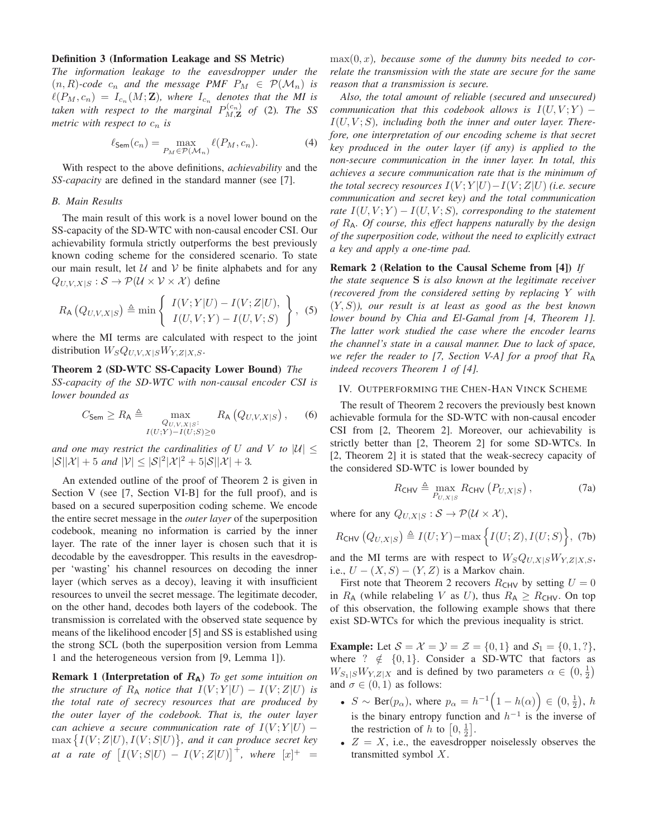# Definition 3 (Information Leakage and SS Metric)

*The information leakage to the eavesdropper under the*  $(n, R)$ -code  $c_n$  and the message PMF  $P_M \in \mathcal{P}(\mathcal{M}_n)$  is  $\ell(P_M, c_n) = I_{c_n}(M; \mathbf{Z})$ , where  $I_{c_n}$  denotes that the MI is taken with respect to the marginal  $P_{M,\mathbf{Z}}^{(c_n)}$  of (2). The SS *metric with respect to*  $c_n$  *is* 

$$
\ell_{\mathsf{Sem}}(c_n) = \max_{P_M \in \mathcal{P}(\mathcal{M}_n)} \ell(P_M, c_n). \tag{4}
$$

With respect to the above definitions, *achievability* and the *SS-capacity* are defined in the standard manner (see [7].

#### *B. Main Results*

The main result of this work is a novel lower bound on the SS-capacity of the SD-WTC with non-causal encoder CSI. Our achievability formula strictly outperforms the best previously known coding scheme for the considered scenario. To state our main result, let  $U$  and  $V$  be finite alphabets and for any  $Q_{U,V,X|S}: \mathcal{S} \to \mathcal{P}(\mathcal{U} \times \mathcal{V} \times \mathcal{X})$  define

$$
R_{\mathsf{A}}\left(Q_{U,V,X|S}\right) \triangleq \min\left\{\begin{array}{c} I(V;Y|U) - I(V;Z|U), \\ I(U,V;Y) - I(U,V;S) \end{array}\right\},\tag{5}
$$

where the MI terms are calculated with respect to the joint distribution  $W_SQ_{U,V,X|S}W_{Y,Z|X,S}$ .

### Theorem 2 (SD-WTC SS-Capacity Lower Bound) *The*

*SS-capacity of the SD-WTC with non-causal encoder CSI is lower bounded as*

$$
C_{\mathsf{Sem}} \geq R_{\mathsf{A}} \triangleq \max_{\substack{Q_{U,V,X|S}:\\I(U;Y)-I(U;S)\geq 0}} R_{\mathsf{A}}\left(Q_{U,V,X|S}\right),\tag{6}
$$

*and one may restrict the cardinalities of* U *and* V to  $|U| \le$  $|\mathcal{S}||\mathcal{X}| + 5$  and  $|\mathcal{V}| \leq |\mathcal{S}|^2 |\mathcal{X}|^2 + 5|\mathcal{S}||\mathcal{X}| + 3$ *.* 

An extended outline of the proof of Theorem 2 is given in Section V (see [7, Section VI-B] for the full proof), and is based on a secured superposition coding scheme. We encode the entire secret message in the *outer layer* of the superposition codebook, meaning no information is carried by the inner layer. The rate of the inner layer is chosen such that it is decodable by the eavesdropper. This results in the eavesdropper 'wasting' his channel resources on decoding the inner layer (which serves as a decoy), leaving it with insufficient resources to unveil the secret message. The legitimate decoder, on the other hand, decodes both layers of the codebook. The transmission is correlated with the observed state sequence by means of the likelihood encoder [5] and SS is established using the strong SCL (both the superposition version from Lemma 1 and the heterogeneous version from [9, Lemma 1]).

Remark 1 (Interpretation of RA) *To get some intuition on the structure of*  $R_A$  *notice that*  $I(V;Y|U) - I(V;Z|U)$  *is the total rate of secrecy resources that are produced by the outer layer of the codebook. That is, the outer layer can achieve a secure communication rate of*  $I(V;Y|U)$  –  $\max \{I(V;Z|U), I(V;S|U)\}\$ , and it can produce secret key *at a rate of*  $[I(V;S|U) - I(V;Z|U)]^{+}$ , where  $[x]^{+} =$  max(0, x), because some of the dummy bits needed to cor*relate the transmission with the state are secure for the same reason that a transmission is secure.*

*Also, the total amount of reliable (secured and unsecured) communication that this codebook allows is*  $I(U, V; Y)$  –  $I(U, V; S)$ , including both the inner and outer layer. There*fore, one interpretation of our encoding scheme is that secret key produced in the outer layer (if any) is applied to the non-secure communication in the inner layer. In total, this achieves a secure communication rate that is the minimum of the total secrecy resources*  $I(V;Y|U) - I(V;Z|U)$  *(i.e. secure communication and secret key) and the total communication rate*  $I(U, V; Y) - I(U, V; S)$ *, corresponding to the statement of* RA*. Of course, this effect happens naturally by the design of the superposition code, without the need to explicitly extract a key and apply a one-time pad.*

# Remark 2 (Relation to the Causal Scheme from [4]) *If*

*the state sequence* S *is also known at the legitimate receiver (recovered from the considered setting by replacing* Y *with* (Y, S)*), our result is at least as good as the best known lower bound by Chia and El-Gamal from [4, Theorem 1]. The latter work studied the case where the encoder learns the channel's state in a causal manner. Due to lack of space, we refer the reader to [7, Section V-A] for a proof that*  $R_A$ *indeed recovers Theorem 1 of [4].*

# IV. OUTPERFORMING THE CHEN-HAN VINCK SCHEME

The result of Theorem 2 recovers the previously best known achievable formula for the SD-WTC with non-causal encoder CSI from [2, Theorem 2]. Moreover, our achievability is strictly better than [2, Theorem 2] for some SD-WTCs. In [2, Theorem 2] it is stated that the weak-secrecy capacity of the considered SD-WTC is lower bounded by

$$
R_{\text{CHV}} \triangleq \max_{P_{U,X|S}} R_{\text{CHV}} (P_{U,X|S}), \tag{7a}
$$

where for any  $Q_{U,X|S}: \mathcal{S} \to \mathcal{P}(\mathcal{U} \times \mathcal{X}),$ 

$$
R_{\text{CHV}}\left(Q_{U,X|S}\right) \triangleq I(U;Y) - \max\left\{I(U;Z), I(U;S)\right\},\tag{7b}
$$

and the MI terms are with respect to  $W_S Q_{U,X|S} W_{Y,Z|X,S}$ , i.e.,  $U - (X, S) - (Y, Z)$  is a Markov chain.

First note that Theorem 2 recovers  $R_{CHV}$  by setting  $U = 0$ in  $R_A$  (while relabeling V as U), thus  $R_A \geq R_{\text{CHV}}$ . On top of this observation, the following example shows that there exist SD-WTCs for which the previous inequality is strict.

**Example:** Let  $S = X = Y = Z = \{0, 1\}$  and  $S_1 = \{0, 1, ?\}$ , where ?  $\notin \{0, 1\}$ . Consider a SD-WTC that factors as  $W_{S_1|S}W_{Y,Z|X}$  and is defined by two parameters  $\alpha \in (0, \frac{1}{2})$ and  $\sigma \in (0,1)$  as follows:

- $S \sim \text{Ber}(p_{\alpha})$ , where  $p_{\alpha} = h^{-1}\left(1 h(\alpha)\right) \in \left(0, \frac{1}{2}\right)$ , h is the binary entropy function and  $h^{-1}$  is the inverse of the restriction of h to  $\left[0, \frac{1}{2}\right]$ .
- $Z = X$ , i.e., the eavesdropper noiselessly observes the transmitted symbol X.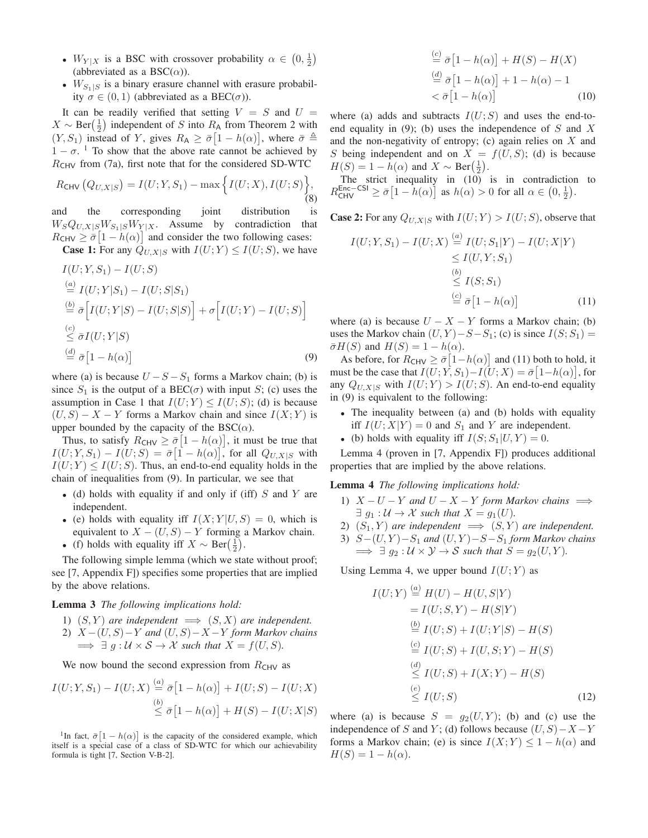- $W_{Y|X}$  is a BSC with crossover probability  $\alpha \in (0, \frac{1}{2})$ (abbreviated as a BSC $(\alpha)$ ).
- $W_{S_1|S}$  is a binary erasure channel with erasure probability  $\sigma \in (0,1)$  (abbreviated as a BEC( $\sigma$ )).

It can be readily verified that setting  $V = S$  and  $U =$  $X \sim \text{Ber}(\frac{1}{2})$  independent of S into  $R_A$  from Theorem 2 with  $(Y, S_1)$  instead of Y, gives  $R_A \ge \bar{\sigma} [1 - h(\alpha)]$ , where  $\bar{\sigma} \triangleq$  $1 - \sigma$ . <sup>1</sup> To show that the above rate cannot be achieved by  $R<sub>CHV</sub>$  from (7a), first note that for the considered SD-WTC

$$
R_{\text{CHV}}\left(Q_{U,X|S}\right) = I(U;Y,S_1) - \max\Big\{I(U;X), I(U;S)\Big\},\tag{8}
$$

and the corresponding joint distribution is  $W_S Q_{U,X|S} W_{S_1|S} W_{Y|X}$ . Assume by contradiction that  $R_{\text{CHV}} \geq \bar{\sigma} [1 - h(\alpha)]$  and consider the two following cases: **Case 1:** For any  $Q_{U,X|S}$  with  $I(U;Y) \leq I(U;S)$ , we have

$$
I(U;Y, S_1) - I(U;S)
$$
  
\n
$$
\stackrel{(a)}{=} I(U;Y|S_1) - I(U;S|S_1)
$$
  
\n
$$
\stackrel{(b)}{=} \bar{\sigma} \Big[ I(U;Y|S) - I(U;S|S) \Big] + \sigma \Big[ I(U;Y) - I(U;S) \Big]
$$
  
\n
$$
\stackrel{(c)}{\leq} \bar{\sigma} I(U;Y|S)
$$
  
\n
$$
\stackrel{(d)}{=} \bar{\sigma} \Big[ 1 - h(\alpha) \Big]
$$
  
\n(9)

where (a) is because  $U - S - S_1$  forms a Markov chain; (b) is since  $S_1$  is the output of a BEC( $\sigma$ ) with input S; (c) uses the assumption in Case 1 that  $I(U;Y) \leq I(U;S)$ ; (d) is because  $(U, S) - X - Y$  forms a Markov chain and since  $I(X; Y)$  is upper bounded by the capacity of the  $BSC(\alpha)$ .

Thus, to satisfy  $R_{\text{CHV}} \geq \bar{\sigma} |1 - h(\alpha)|$ , it must be true that  $I(U;Y,S_1) - I(U;S) = \bar{\sigma} \big[ 1 - h(\alpha) \big],$  for all  $Q_{U,X|S}$  with  $I(U;Y) \leq I(U;S)$ . Thus, an end-to-end equality holds in the chain of inequalities from (9). In particular, we see that

- (d) holds with equality if and only if (iff)  $S$  and  $Y$  are independent.
- (e) holds with equality iff  $I(X; Y | U, S) = 0$ , which is equivalent to  $X - (U, S) - Y$  forming a Markov chain.
- (f) holds with equality iff  $X \sim \text{Ber}(\frac{1}{2})$ .

The following simple lemma (which we state without proof; see [7, Appendix F]) specifies some properties that are implied by the above relations.

#### Lemma 3 *The following implications hold:*

- 1)  $(S, Y)$  *are independent*  $\implies$   $(S, X)$  *are independent.*
- 2) X −(U, S)−Y *and* (U, S)−X −Y *form Markov chains*  $\implies \exists g : \mathcal{U} \times \mathcal{S} \rightarrow \mathcal{X}$  such that  $X = f(U, S)$ .

We now bound the second expression from  $R<sub>CHV</sub>$  as

$$
I(U;Y,S_1) - I(U;X) \stackrel{(a)}{=} \bar{\sigma} [1 - h(\alpha)] + I(U;S) - I(U;X)
$$
  

$$
\stackrel{(b)}{\leq} \bar{\sigma} [1 - h(\alpha)] + H(S) - I(U;X|S)
$$

<sup>1</sup>In fact,  $\bar{\sigma}$ [1 – h( $\alpha$ )] is the capacity of the considered example, which itself is a special case of a class of SD-WTC for which our achievability formula is tight [7, Section V-B-2].

$$
\stackrel{(c)}{=} \bar{\sigma} [1 - h(\alpha)] + H(S) - H(X)
$$
  
\n
$$
\stackrel{(d)}{=} \bar{\sigma} [1 - h(\alpha)] + 1 - h(\alpha) - 1
$$
  
\n
$$
< \bar{\sigma} [1 - h(\alpha)] \tag{10}
$$

where (a) adds and subtracts  $I(U; S)$  and uses the end-toend equality in (9); (b) uses the independence of  $S$  and  $X$ and the non-negativity of entropy; (c) again relies on  $X$  and S being independent and on  $X = f(U, S)$ ; (d) is because  $H(S) = 1 - h(\alpha)$  and  $X \sim \text{Ber}(\frac{1}{2})$ .

The strict inequality in (10) is in contradiction to  $R_{\text{CHV}}^{\text{Enc-CSI}} \ge \bar{\sigma} [1 - h(\alpha)]$  as  $h(\alpha) > 0$  for all  $\alpha \in (0, \frac{1}{2})$ .

**Case 2:** For any  $Q_{U,X|S}$  with  $I(U;Y) > I(U;S)$ , observe that

$$
I(U;Y,S_1) - I(U;X) \stackrel{(a)}{=} I(U;S_1|Y) - I(U;X|Y)
$$
  
\n
$$
\leq I(U,Y;S_1)
$$
  
\n
$$
\stackrel{(b)}{\leq} I(S;S_1)
$$
  
\n
$$
\stackrel{(c)}{=} \bar{\sigma} [1 - h(\alpha)] \tag{11}
$$

where (a) is because  $U - X - Y$  forms a Markov chain; (b) uses the Markov chain  $(U, Y) - S - S_1$ ; (c) is since  $I(S; S_1) =$  $\bar{\sigma}H(S)$  and  $H(S) = 1 - h(\alpha)$ .

As before, for  $R_{\text{CHV}} \ge \bar{\sigma} [1-h(\alpha)]$  and (11) both to hold, it must be the case that  $I(U;Y,S_1) - I(U;X) = \bar{\sigma}[1-h(\alpha)],$  for any  $Q_{U,X|S}$  with  $I(U;Y) > I(U;S)$ . An end-to-end equality in (9) is equivalent to the following:

- The inequality between (a) and (b) holds with equality iff  $I(U; X|Y) = 0$  and  $S_1$  and Y are independent.
- (b) holds with equality iff  $I(S; S_1|U, Y) = 0$ .

Lemma 4 (proven in [7, Appendix F]) produces additional properties that are implied by the above relations.

#### Lemma 4 *The following implications hold:*

- 1)  $X U Y$  *and*  $U X Y$  *form Markov chains*  $\implies$  $\exists q_1 : \mathcal{U} \to \mathcal{X}$  such that  $X = q_1(U)$ .
- 2)  $(S_1, Y)$  *are independent*  $\implies$   $(S, Y)$  *are independent.*
- 3)  $S-(U, Y) S_1$  and  $(U, Y) S S_1$  *form Markov chains*  $\implies \exists g_2 : U \times Y \rightarrow S$  *such that*  $S = g_2(U, Y)$ *.*

Using Lemma 4, we upper bound  $I(U;Y)$  as

$$
I(U;Y) \stackrel{(a)}{=} H(U) - H(U, S|Y)
$$
  
=  $I(U; S, Y) - H(S|Y)$   

$$
\stackrel{(b)}{=} I(U; S) + I(U; Y|S) - H(S)
$$
  

$$
\stackrel{(c)}{=} I(U; S) + I(U, S; Y) - H(S)
$$
  

$$
\stackrel{(d)}{\leq} I(U; S) + I(X; Y) - H(S)
$$
  

$$
\stackrel{(e)}{\leq} I(U; S)
$$
 (12)

where (a) is because  $S = g_2(U, Y)$ ; (b) and (c) use the independence of S and Y; (d) follows because  $(U, S) - X - Y$ forms a Markov chain; (e) is since  $I(X;Y) \leq 1 - h(\alpha)$  and  $H(S) = 1 - h(\alpha)$ .